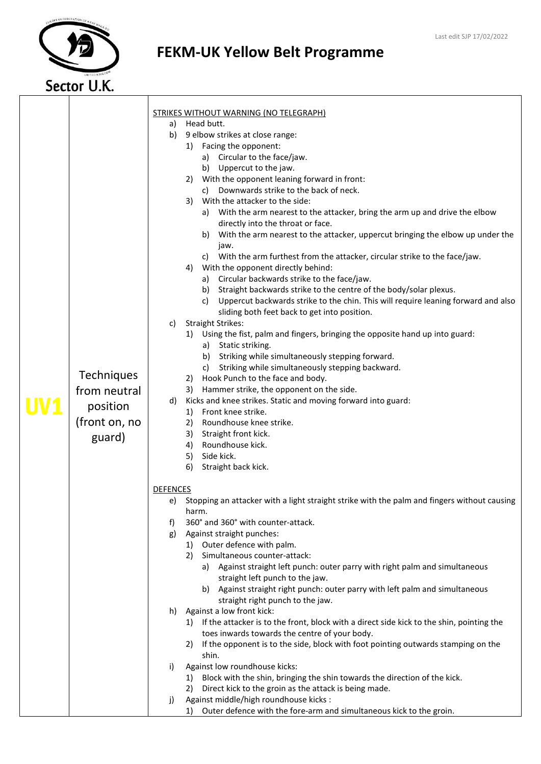

## FEKM-UK Yellow Belt Programme

|  |               |                 | <b>STRIKES WITHOUT WARNING (NO TELEGRAPH)</b>                                                                                      |
|--|---------------|-----------------|------------------------------------------------------------------------------------------------------------------------------------|
|  |               | a)              | Head butt.                                                                                                                         |
|  |               | b)              | 9 elbow strikes at close range:                                                                                                    |
|  |               |                 | 1) Facing the opponent:                                                                                                            |
|  |               |                 | a) Circular to the face/jaw.                                                                                                       |
|  |               |                 | b) Uppercut to the jaw.                                                                                                            |
|  |               |                 | 2) With the opponent leaning forward in front:                                                                                     |
|  |               |                 | Downwards strike to the back of neck.<br>C)                                                                                        |
|  |               |                 | With the attacker to the side:<br>3)                                                                                               |
|  |               |                 | a) With the arm nearest to the attacker, bring the arm up and drive the elbow                                                      |
|  |               |                 | directly into the throat or face.                                                                                                  |
|  |               |                 | b) With the arm nearest to the attacker, uppercut bringing the elbow up under the<br>jaw.                                          |
|  |               |                 | c) With the arm furthest from the attacker, circular strike to the face/jaw.                                                       |
|  |               |                 | With the opponent directly behind:<br>4)                                                                                           |
|  |               |                 | a) Circular backwards strike to the face/jaw.                                                                                      |
|  |               |                 | b) Straight backwards strike to the centre of the body/solar plexus.                                                               |
|  |               |                 | c) Uppercut backwards strike to the chin. This will require leaning forward and also                                               |
|  |               |                 | sliding both feet back to get into position.                                                                                       |
|  |               | C)              | <b>Straight Strikes:</b>                                                                                                           |
|  |               |                 | 1) Using the fist, palm and fingers, bringing the opposite hand up into guard:                                                     |
|  |               |                 | a) Static striking.                                                                                                                |
|  |               |                 | b) Striking while simultaneously stepping forward.                                                                                 |
|  | Techniques    |                 | Striking while simultaneously stepping backward.<br>C)                                                                             |
|  |               |                 | Hook Punch to the face and body.<br>2)                                                                                             |
|  | from neutral  |                 | 3) Hammer strike, the opponent on the side.                                                                                        |
|  | position      | d)              | Kicks and knee strikes. Static and moving forward into guard:<br>1) Front knee strike.                                             |
|  | (front on, no |                 | 2)<br>Roundhouse knee strike.                                                                                                      |
|  |               |                 | 3)<br>Straight front kick.                                                                                                         |
|  | guard)        |                 | Roundhouse kick.<br>4)                                                                                                             |
|  |               |                 | Side kick.<br>5)                                                                                                                   |
|  |               |                 | 6)<br>Straight back kick.                                                                                                          |
|  |               |                 |                                                                                                                                    |
|  |               | <b>DEFENCES</b> |                                                                                                                                    |
|  |               |                 | e) Stopping an attacker with a light straight strike with the palm and fingers without causing<br>harm.                            |
|  |               | f)              | 360° and 360° with counter-attack.                                                                                                 |
|  |               | g)              | Against straight punches:                                                                                                          |
|  |               |                 | 1) Outer defence with palm.                                                                                                        |
|  |               |                 | Simultaneous counter-attack:<br>2)                                                                                                 |
|  |               |                 | a) Against straight left punch: outer parry with right palm and simultaneous                                                       |
|  |               |                 | straight left punch to the jaw.                                                                                                    |
|  |               |                 | b) Against straight right punch: outer parry with left palm and simultaneous                                                       |
|  |               |                 | straight right punch to the jaw.                                                                                                   |
|  |               | h)              | Against a low front kick:                                                                                                          |
|  |               |                 | 1) If the attacker is to the front, block with a direct side kick to the shin, pointing the                                        |
|  |               |                 | toes inwards towards the centre of your body.                                                                                      |
|  |               |                 | If the opponent is to the side, block with foot pointing outwards stamping on the<br>2)                                            |
|  |               |                 | shin.                                                                                                                              |
|  |               | i)              | Against low roundhouse kicks:                                                                                                      |
|  |               |                 | Block with the shin, bringing the shin towards the direction of the kick.<br>Direct kick to the groin as the attack is being made. |
|  |               | j)              | Against middle/high roundhouse kicks :                                                                                             |
|  |               |                 | Outer defence with the fore-arm and simultaneous kick to the groin.<br>1)                                                          |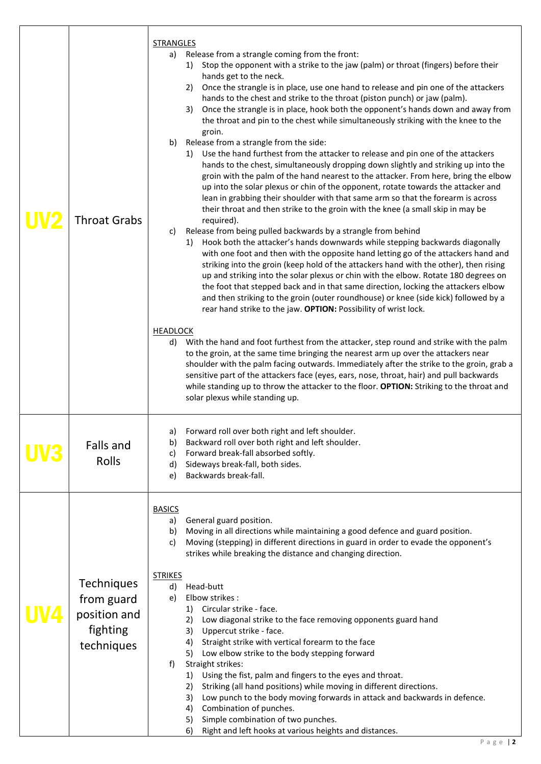| <b>Throat Grabs</b>                                                | <b>STRANGLES</b><br>Release from a strangle coming from the front:<br>a)<br>Stop the opponent with a strike to the jaw (palm) or throat (fingers) before their<br>1)<br>hands get to the neck.<br>2) Once the strangle is in place, use one hand to release and pin one of the attackers<br>hands to the chest and strike to the throat (piston punch) or jaw (palm).<br>Once the strangle is in place, hook both the opponent's hands down and away from<br>3)<br>the throat and pin to the chest while simultaneously striking with the knee to the<br>groin.<br>Release from a strangle from the side:<br>b)<br>Use the hand furthest from the attacker to release and pin one of the attackers<br>1)<br>hands to the chest, simultaneously dropping down slightly and striking up into the<br>groin with the palm of the hand nearest to the attacker. From here, bring the elbow<br>up into the solar plexus or chin of the opponent, rotate towards the attacker and<br>lean in grabbing their shoulder with that same arm so that the forearm is across<br>their throat and then strike to the groin with the knee (a small skip in may be<br>required).<br>Release from being pulled backwards by a strangle from behind<br>c)<br>1) Hook both the attacker's hands downwards while stepping backwards diagonally<br>with one foot and then with the opposite hand letting go of the attackers hand and<br>striking into the groin (keep hold of the attackers hand with the other), then rising<br>up and striking into the solar plexus or chin with the elbow. Rotate 180 degrees on<br>the foot that stepped back and in that same direction, locking the attackers elbow<br>and then striking to the groin (outer roundhouse) or knee (side kick) followed by a<br>rear hand strike to the jaw. OPTION: Possibility of wrist lock.<br><b>HEADLOCK</b><br>With the hand and foot furthest from the attacker, step round and strike with the palm<br>d)<br>to the groin, at the same time bringing the nearest arm up over the attackers near<br>shoulder with the palm facing outwards. Immediately after the strike to the groin, grab a<br>sensitive part of the attackers face (eyes, ears, nose, throat, hair) and pull backwards |
|--------------------------------------------------------------------|---------------------------------------------------------------------------------------------------------------------------------------------------------------------------------------------------------------------------------------------------------------------------------------------------------------------------------------------------------------------------------------------------------------------------------------------------------------------------------------------------------------------------------------------------------------------------------------------------------------------------------------------------------------------------------------------------------------------------------------------------------------------------------------------------------------------------------------------------------------------------------------------------------------------------------------------------------------------------------------------------------------------------------------------------------------------------------------------------------------------------------------------------------------------------------------------------------------------------------------------------------------------------------------------------------------------------------------------------------------------------------------------------------------------------------------------------------------------------------------------------------------------------------------------------------------------------------------------------------------------------------------------------------------------------------------------------------------------------------------------------------------------------------------------------------------------------------------------------------------------------------------------------------------------------------------------------------------------------------------------------------------------------------------------------------------------------------------------------------------------------------------------------------------------------------------------------------------------------------------------------|
|                                                                    | while standing up to throw the attacker to the floor. OPTION: Striking to the throat and<br>solar plexus while standing up.<br>a) Forward roll over both right and left shoulder.                                                                                                                                                                                                                                                                                                                                                                                                                                                                                                                                                                                                                                                                                                                                                                                                                                                                                                                                                                                                                                                                                                                                                                                                                                                                                                                                                                                                                                                                                                                                                                                                                                                                                                                                                                                                                                                                                                                                                                                                                                                                 |
| <b>Falls and</b><br>Rolls                                          | Backward roll over both right and left shoulder.<br>b)<br>Forward break-fall absorbed softly.<br>C)<br>Sideways break-fall, both sides.<br>d)<br>Backwards break-fall.<br>e)                                                                                                                                                                                                                                                                                                                                                                                                                                                                                                                                                                                                                                                                                                                                                                                                                                                                                                                                                                                                                                                                                                                                                                                                                                                                                                                                                                                                                                                                                                                                                                                                                                                                                                                                                                                                                                                                                                                                                                                                                                                                      |
| Techniques<br>from guard<br>position and<br>fighting<br>techniques | <b>BASICS</b><br>General guard position.<br>a)<br>Moving in all directions while maintaining a good defence and guard position.<br>b)<br>Moving (stepping) in different directions in guard in order to evade the opponent's<br>c)<br>strikes while breaking the distance and changing direction.<br><b>STRIKES</b><br>Head-butt<br>d)<br>Elbow strikes:<br>e)<br>Circular strike - face.<br>1)<br>Low diagonal strike to the face removing opponents guard hand<br>2)<br>3)<br>Uppercut strike - face.<br>Straight strike with vertical forearm to the face<br>4)<br>Low elbow strike to the body stepping forward<br>5)<br>Straight strikes:<br>f)<br>Using the fist, palm and fingers to the eyes and throat.<br>1)<br>Striking (all hand positions) while moving in different directions.<br>2)<br>Low punch to the body moving forwards in attack and backwards in defence.<br>3)<br>Combination of punches.<br>4)<br>Simple combination of two punches.<br>5)<br>Right and left hooks at various heights and distances.<br>6)                                                                                                                                                                                                                                                                                                                                                                                                                                                                                                                                                                                                                                                                                                                                                                                                                                                                                                                                                                                                                                                                                                                                                                                                               |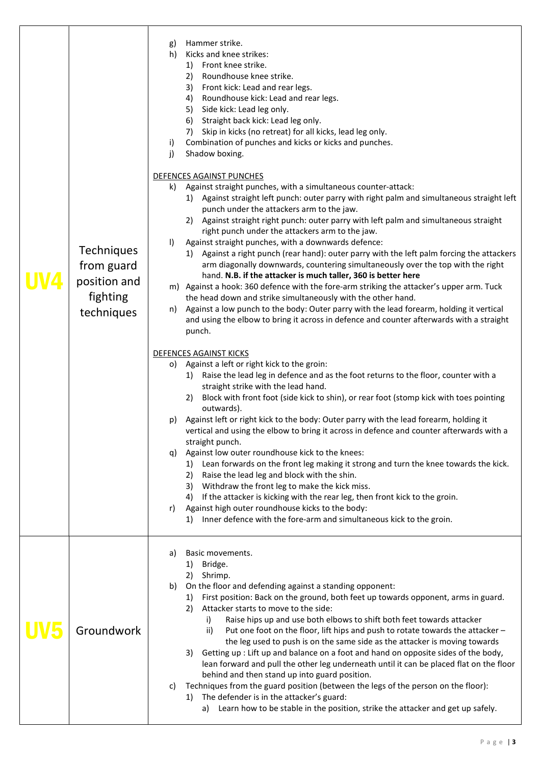| <b>Techniques</b><br>from guard<br>position and<br>fighting<br>techniques | Hammer strike.<br>g)<br>Kicks and knee strikes:<br>h)<br>Front knee strike.<br>1)<br>Roundhouse knee strike.<br>2)<br>3)<br>Front kick: Lead and rear legs.<br>Roundhouse kick: Lead and rear legs.<br>4)<br>5)<br>Side kick: Lead leg only.<br>Straight back kick: Lead leg only.<br>6)<br>Skip in kicks (no retreat) for all kicks, lead leg only.<br>7)<br>Combination of punches and kicks or kicks and punches.<br>i)<br>Shadow boxing.<br>j)<br>DEFENCES AGAINST PUNCHES<br>Against straight punches, with a simultaneous counter-attack:<br>k)<br>1) Against straight left punch: outer parry with right palm and simultaneous straight left<br>punch under the attackers arm to the jaw.<br>2) Against straight right punch: outer parry with left palm and simultaneous straight<br>right punch under the attackers arm to the jaw.<br>Against straight punches, with a downwards defence:<br>$\vert$<br>1) Against a right punch (rear hand): outer parry with the left palm forcing the attackers<br>arm diagonally downwards, countering simultaneously over the top with the right<br>hand. N.B. if the attacker is much taller, 360 is better here<br>m) Against a hook: 360 defence with the fore-arm striking the attacker's upper arm. Tuck<br>the head down and strike simultaneously with the other hand.<br>Against a low punch to the body: Outer parry with the lead forearm, holding it vertical<br>n)<br>and using the elbow to bring it across in defence and counter afterwards with a straight<br>punch.<br><b>DEFENCES AGAINST KICKS</b><br>Against a left or right kick to the groin:<br>O)<br>Raise the lead leg in defence and as the foot returns to the floor, counter with a<br>1)<br>straight strike with the lead hand. |
|---------------------------------------------------------------------------|-------------------------------------------------------------------------------------------------------------------------------------------------------------------------------------------------------------------------------------------------------------------------------------------------------------------------------------------------------------------------------------------------------------------------------------------------------------------------------------------------------------------------------------------------------------------------------------------------------------------------------------------------------------------------------------------------------------------------------------------------------------------------------------------------------------------------------------------------------------------------------------------------------------------------------------------------------------------------------------------------------------------------------------------------------------------------------------------------------------------------------------------------------------------------------------------------------------------------------------------------------------------------------------------------------------------------------------------------------------------------------------------------------------------------------------------------------------------------------------------------------------------------------------------------------------------------------------------------------------------------------------------------------------------------------------------------------------------------------------------------------------|
|                                                                           | Block with front foot (side kick to shin), or rear foot (stomp kick with toes pointing<br>2)<br>outwards).<br>Against left or right kick to the body: Outer parry with the lead forearm, holding it<br>p)<br>vertical and using the elbow to bring it across in defence and counter afterwards with a<br>straight punch.<br>Against low outer roundhouse kick to the knees:<br>q)<br>Lean forwards on the front leg making it strong and turn the knee towards the kick.<br>1)<br>2)<br>Raise the lead leg and block with the shin.<br>3) Withdraw the front leg to make the kick miss.<br>4) If the attacker is kicking with the rear leg, then front kick to the groin.<br>Against high outer roundhouse kicks to the body:<br>r)<br>Inner defence with the fore-arm and simultaneous kick to the groin.<br>1)                                                                                                                                                                                                                                                                                                                                                                                                                                                                                                                                                                                                                                                                                                                                                                                                                                                                                                                                            |
| Groundwork                                                                | Basic movements.<br>a)<br>1)<br>Bridge.<br>2)<br>Shrimp.<br>On the floor and defending against a standing opponent:<br>b)<br>First position: Back on the ground, both feet up towards opponent, arms in guard.<br>1)<br>Attacker starts to move to the side:<br>2)<br>Raise hips up and use both elbows to shift both feet towards attacker<br>i)<br>Put one foot on the floor, lift hips and push to rotate towards the attacker -<br>ii)<br>the leg used to push is on the same side as the attacker is moving towards<br>Getting up : Lift up and balance on a foot and hand on opposite sides of the body,<br>3)<br>lean forward and pull the other leg underneath until it can be placed flat on the floor<br>behind and then stand up into guard position.<br>Techniques from the guard position (between the legs of the person on the floor):<br>C)<br>The defender is in the attacker's guard:<br>1)<br>a) Learn how to be stable in the position, strike the attacker and get up safely.                                                                                                                                                                                                                                                                                                                                                                                                                                                                                                                                                                                                                                                                                                                                                          |